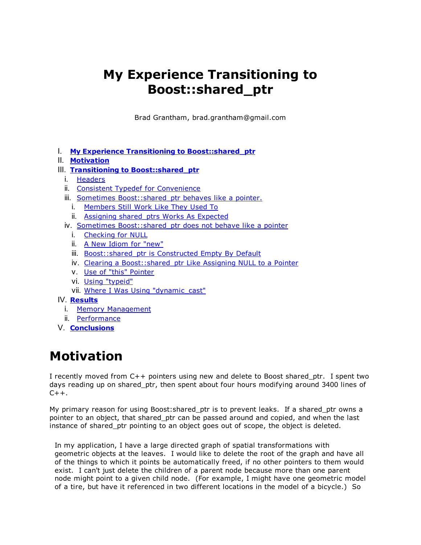# **My Experience Transitioning to Boost::shared\_ptr**

Brad Grantham, brad.grantham@gmail.com

I. **My Experience Transitioning to Boost::shared\_ptr**

#### II. **Motivation**

#### III. **Transitioning to Boost::shared\_ptr**

- i. Headers
- ii. Consistent Typedef for Convenience
- iii. Sometimes Boost::shared ptr behaves like a pointer.
	- i. Members Still Work Like They Used To
	- ii. Assigning shared\_ptrs Works As Expected
- iv. Sometimes Boost:: shared ptr does not behave like a pointer
	- i. Checking for NULL
	- ii. A New Idiom for "new"
	- iii. Boost:: shared ptr is Constructed Empty By Default
	- iv. Clearing a Boost::shared\_ptr Like Assigning NULL to a Pointer
	- v. Use of "this" Pointer
	- vi. Using "typeid"
	- vii. Where I Was Using "dynamic\_cast"
- IV. **Results**
	- i. Memory Management
	- ii. Performance
- V. **Conclusions**

# **Motivation**

I recently moved from C++ pointers using new and delete to Boost shared\_ptr. I spent two days reading up on shared ptr, then spent about four hours modifying around 3400 lines of  $C++$ .

My primary reason for using Boost: shared ptr is to prevent leaks. If a shared ptr owns a pointer to an object, that shared ptr can be passed around and copied, and when the last instance of shared ptr pointing to an object goes out of scope, the object is deleted.

In my application, I have a large directed graph of spatial transformations with geometric objects at the leaves. I would like to delete the root of the graph and have all of the things to which it points be automatically freed, if no other pointers to them would exist. I can't just delete the children of a parent node because more than one parent node might point to a given child node. (For example, I might have one geometric model of a tire, but have it referenced in two different locations in the model of a bicycle.) So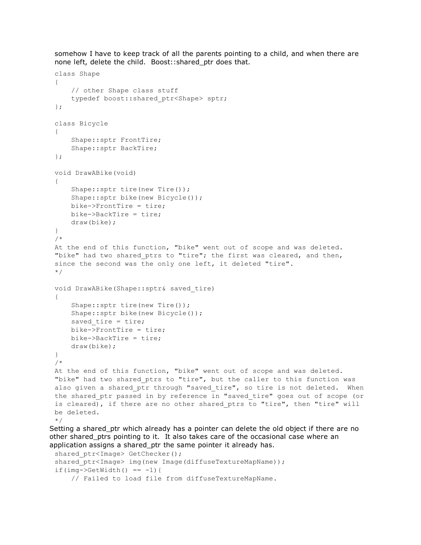somehow I have to keep track of all the parents pointing to a child, and when there are none left, delete the child. Boost::shared\_ptr does that.

```
class Shape
 {
     // other Shape class stuff
     typedef boost::shared_ptr<Shape> sptr;
 };
 class Bicycle
 {
     Shape::sptr FrontTire;
     Shape::sptr BackTire;
 };
 void DrawABike(void)
 {
     Shape::sptr tire(new Tire());
     Shape::sptr bike(new Bicycle());
     bike->FrontTire = tire;
     bike>BackTire = tire;
     draw(bike);
 }
 /*
 At the end of this function, "bike" went out of scope and was deleted.
 "bike" had two shared ptrs to "tire"; the first was cleared, and then,
 since the second was the only one left, it deleted "tire".
 */
 void DrawABike(Shape::sptr& saved_tire)
 {
     Shape::sptr tire(new Tire());
     Shape::sptr bike(new Bicycle());
     saved tire = tire;
     bike>FrontTire = tire;
     bike>BackTire = tire;
     draw(bike);
 }
 /*
 At the end of this function, "bike" went out of scope and was deleted.
 "bike" had two shared_ptrs to "tire", but the caller to this function was
 also given a shared ptr through "saved tire", so tire is not deleted. When
 the shared ptr passed in by reference in "saved tire" goes out of scope (or
 is cleared), if there are no other shared ptrs to "tire", then "tire" will
 be deleted.
 */
Setting a shared ptr which already has a pointer can delete the old object if there are no
other shared_ptrs pointing to it. It also takes care of the occasional case where an
```

```
application assigns a shared_ptr the same pointer it already has.
 shared ptr<Image> GetChecker();
 shared ptr<Image> img(new Image(diffuseTextureMapName));
 if(img->GetWidth() == -1){
     // Failed to load file from diffuseTextureMapName.
```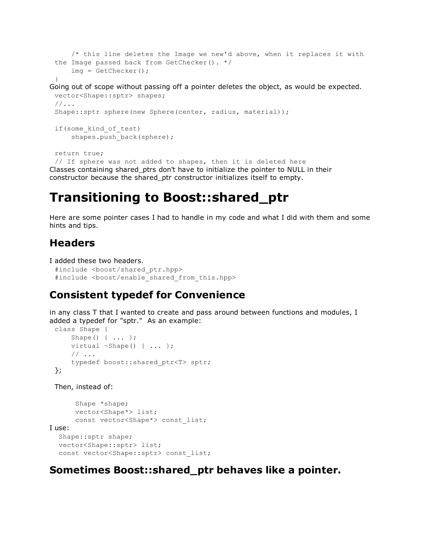```
/* this line deletes the Image we new'd above, when it replaces it with
the Image passed back from GetChecker(). */
    img = GetChecker();
```
#### }

Going out of scope without passing off a pointer deletes the object, as would be expected. vector<Shape::sptr> shapes; //...

```
Shape::sptr sphere(new Sphere(center, radius, material));
```

```
if(some_kind_of_test)
    shapes.push_back(sphere);
```
return true;

// If sphere was not added to shapes, then it is deleted here Classes containing shared\_ptrs don't have to initialize the pointer to NULL in their constructor because the shared\_ptr constructor initializes itself to empty.

## **Transitioning to Boost::shared\_ptr**

Here are some pointer cases I had to handle in my code and what I did with them and some hints and tips.

### **Headers**

```
I added these two headers.
```

```
#include <boost/shared ptr.hpp>
#include <boost/enable shared from this.hpp>
```
## **Consistent typedef for Convenience**

in any class T that I wanted to create and pass around between functions and modules, I added a typedef for "sptr." As an example:

```
class Shape {
    Shape() { ... };
    virtual ~Shape() { ... };
    // ...
    typedef boost::shared_ptr<T> sptr;
};
```
Then, instead of:

```
Shape *shape;
      vector<Shape*> list;
      const vector<Shape*> const list;
I use:
  Shape::sptr shape;
  vector<Shape::sptr> list;
  const vector<Shape::sptr> const list;
```
## **Sometimes Boost::shared\_ptr behaves like a pointer.**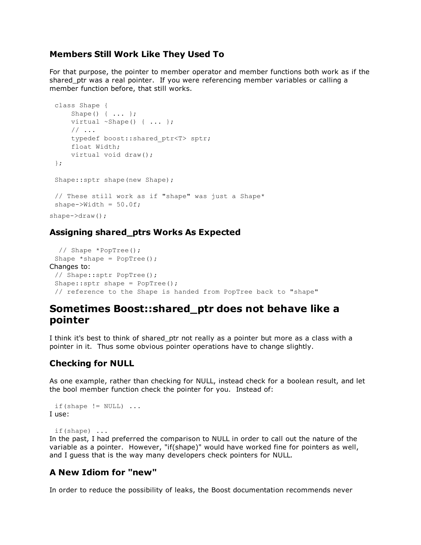#### **Members Still Work Like They Used To**

For that purpose, the pointer to member operator and member functions both work as if the shared ptr was a real pointer. If you were referencing member variables or calling a member function before, that still works.

```
class Shape {
     Shape() { ... };
     virtual ~Shape() { ... };
     // ...
     typedef boost::shared_ptr<T> sptr;
     float Width;
     virtual void draw();
 };
 Shape::sptr shape(new Shape);
 // These still work as if "shape" was just a Shape*
 shape->Width = 50.0f;shape->draw();
```
#### **Assigning shared\_ptrs Works As Expected**

```
// Shape *PopTree();
 Shape *shape = PopTree();
Changes to:
 // Shape::sptr PopTree();
 Shape::sptr shape = PopTree();
 // reference to the Shape is handed from PopTree back to "shape"
```
### **Sometimes Boost::shared\_ptr does not behave like a pointer**

I think it's best to think of shared ptr not really as a pointer but more as a class with a pointer in it. Thus some obvious pointer operations have to change slightly.

#### **Checking for NULL**

As one example, rather than checking for NULL, instead check for a boolean result, and let the bool member function check the pointer for you. Instead of:

```
if(shape != NULL) ...I use:
```
if(shape) ...

In the past, I had preferred the comparison to NULL in order to call out the nature of the variable as a pointer. However, "if(shape)" would have worked fine for pointers as well, and I guess that is the way many developers check pointers for NULL.

#### **A New Idiom for "new"**

In order to reduce the possibility of leaks, the Boost documentation recommends never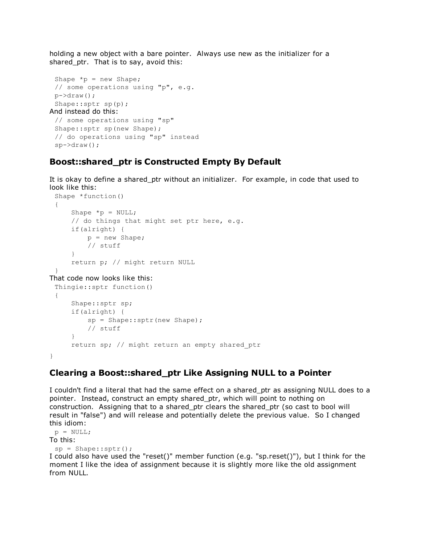holding a new object with a bare pointer. Always use new as the initializer for a shared ptr. That is to say, avoid this:

```
Shape *_{p} = new Shape;
 // some operations using "p", e.g.
 p->draw();
 Shape::sptr sp(p);
And instead do this:
 // some operations using "sp"
 Shape::sptr sp(new Shape);
 // do operations using "sp" instead
 sp->draw();
```
#### **Boost::shared\_ptr is Constructed Empty By Default**

It is okay to define a shared ptr without an initializer. For example, in code that used to look like this:

```
Shape *function()
{
    Shape *_{p} = NULL;
    // do things that might set ptr here, e.g.
    if(alright) {
        p = new Shape;
        // stuff
    }
    return p; // might return NULL
}
```
That code now looks like this:

```
Thingie::sptr function()
 {
     Shape::sptr sp;
     if(alright) {
         sp = Shape::sptr(new Shape);
         // stuff
     }
     return sp; // might return an empty shared_ptr
}
```
#### **Clearing a Boost::shared\_ptr Like Assigning NULL to a Pointer**

I couldn't find a literal that had the same effect on a shared\_ptr as assigning NULL does to a pointer. Instead, construct an empty shared\_ptr, which will point to nothing on construction. Assigning that to a shared\_ptr clears the shared\_ptr (so cast to bool will result in "false") and will release and potentially delete the previous value. So I changed this idiom:

```
p = NULL;To this:
 sp = Shape::sptr();I could also have used the "reset()" member function (e.g. "sp.reset()"), but I think for the
moment I like the idea of assignment because it is slightly more like the old assignment
from NULL.
```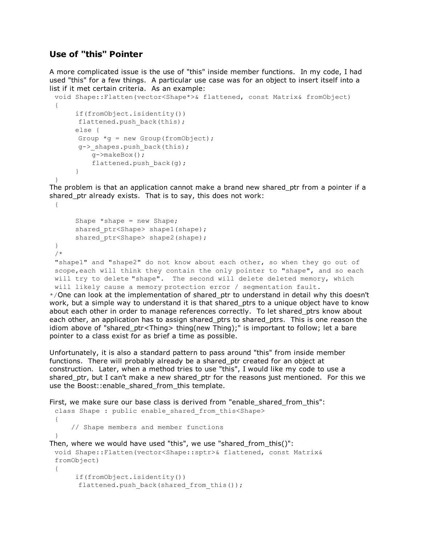#### **Use of "this" Pointer**

A more complicated issue is the use of "this" inside member functions. In my code, I had used "this" for a few things. A particular use case was for an object to insert itself into a list if it met certain criteria. As an example:

```
void Shape::Flatten(vector<Shape*>& flattened, const Matrix& fromObject)
{
     if(fromObject.isidentity())
     flattened.push back(this);
     else {
     Group *q = new Group(fromObject);
     g-> shapes.push back(this);
         g>makeBox();
         flattened.push back(g);
     }
}
```
The problem is that an application cannot make a brand new shared\_ptr from a pointer if a shared\_ptr already exists. That is to say, this does not work: {

```
Shape *shape = new Shape;
     shared ptr<Shape> shape1(shape);
     shared ptr<Shape> shape2(shape);
}
/*
"shape1" and "shape2" do not know about each other, so when they go out of
scope, each will think they contain the only pointer to "shape", and so each
will try to delete "shape". The second will delete deleted memory, which
will likely cause a memory protection error / segmentation fault.
```
\*/One can look at the implementation of shared\_ptr to understand in detail why this doesn't work, but a simple way to understand it is that shared ptrs to a unique object have to know about each other in order to manage references correctly. To let shared ptrs know about each other, an application has to assign shared ptrs to shared ptrs. This is one reason the idiom above of "shared\_ptr<Thing> thing(new Thing);" is important to follow; let a bare pointer to a class exist for as brief a time as possible.

Unfortunately, it is also a standard pattern to pass around "this" from inside member functions. There will probably already be a shared ptr created for an object at construction. Later, when a method tries to use "this", I would like my code to use a shared ptr, but I can't make a new shared ptr for the reasons just mentioned. For this we use the Boost::enable shared from this template.

```
First, we make sure our base class is derived from "enable shared from this":
 class Shape : public enable shared from this<Shape>
 {
     // Shape members and member functions
 }
Then, where we would have used "this", we use "shared_from_this()":
 void Shape::Flatten(vector<Shape::sptr>& flattened, const Matrix&
 fromObject)
 {
      if(fromObject.isidentity())
       flattened.push_back(shared_from_this());
```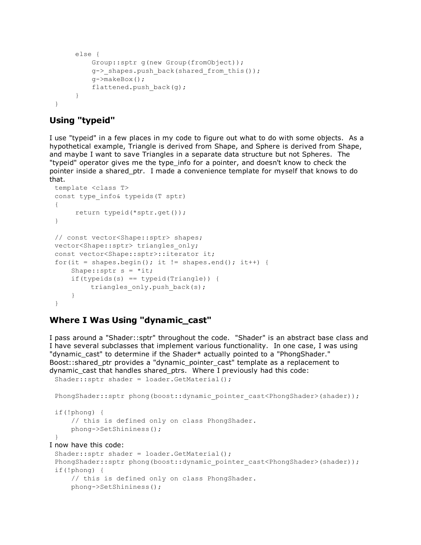```
else {
         Group::sptr g(new Group(fromObject));
         g-> shapes.push back(shared from this());
         g->makeBox();
         flattened.push back(g);
     }
}
```
#### **Using "typeid"**

I use "typeid" in a few places in my code to figure out what to do with some objects. As a hypothetical example, Triangle is derived from Shape, and Sphere is derived from Shape, and maybe I want to save Triangles in a separate data structure but not Spheres. The "typeid" operator gives me the type\_info for a pointer, and doesn't know to check the pointer inside a shared\_ptr. I made a convenience template for myself that knows to do that.

```
template <class T>
const type_info& typeids(T sptr)
{
     return typeid(*sptr.get());
}
// const vector<Shape::sptr> shapes;
vector<Shape::sptr> triangles only;
const vector<Shape::sptr>::iterator it;
for(it = shapes.begin(); it != shapes.end(); it++) {
    Shape:: sptr s = *it;if(typeids(s) == typeid(Triangle)) {
         triangles only.push back(s);
    }
}
```
#### **Where I Was Using "dynamic\_cast"**

I pass around a "Shader::sptr" throughout the code. "Shader" is an abstract base class and I have several subclasses that implement various functionality. In one case, I was using "dynamic cast" to determine if the Shader\* actually pointed to a "PhongShader." Boost::shared\_ptr provides a "dynamic\_pointer\_cast" template as a replacement to dynamic\_cast that handles shared\_ptrs. Where I previously had this code:

```
Shader::sptr shader = loader.GetMaterial();
 PhongShader::sptr phong(boost::dynamic pointer cast<PhongShader>(shader));
 if(!phong) {
     // this is defined only on class PhongShader.
     phong>SetShininess();
 }
I now have this code:
 Shader::sptr shader = loader.GetMaterial();
 PhongShader::sptr phong(boost::dynamic pointer cast<PhongShader>(shader));
 if(!phong) {
```

```
// this is defined only on class PhongShader.
phong>SetShininess();
```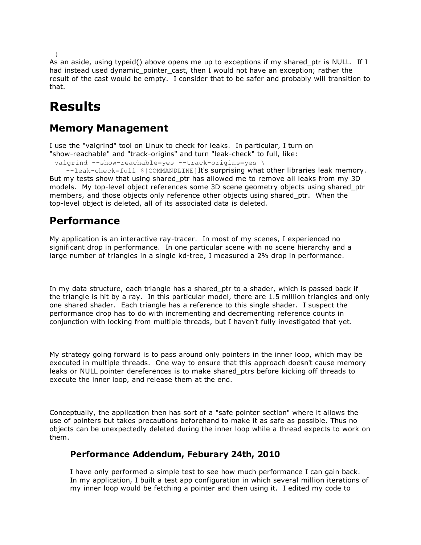```
}
```
As an aside, using typeid() above opens me up to exceptions if my shared ptr is NULL. If I had instead used dynamic pointer cast, then I would not have an exception; rather the result of the cast would be empty. I consider that to be safer and probably will transition to that.

# **Results**

## **Memory Management**

I use the "valgrind" tool on Linux to check for leaks. In particular, I turn on "show-reachable" and "track-origins" and turn "leak-check" to full, like:

```
valgrind --show-reachable=yes --track-origins=yes \ \ \backslash
```
 $-$ -leak-check=full  $$$ {COMMANDLINE}It's surprising what other libraries leak memory. But my tests show that using shared ptr has allowed me to remove all leaks from my 3D models. My top-level object references some 3D scene geometry objects using shared ptr members, and those objects only reference other objects using shared\_ptr. When the top-level object is deleted, all of its associated data is deleted.

## **Performance**

My application is an interactive ray-tracer. In most of my scenes, I experienced no significant drop in performance. In one particular scene with no scene hierarchy and a large number of triangles in a single kd-tree, I measured a 2% drop in performance.

In my data structure, each triangle has a shared ptr to a shader, which is passed back if the triangle is hit by a ray. In this particular model, there are 1.5 million triangles and only one shared shader. Each triangle has a reference to this single shader. I suspect the performance drop has to do with incrementing and decrementing reference counts in conjunction with locking from multiple threads, but I haven't fully investigated that yet.

My strategy going forward is to pass around only pointers in the inner loop, which may be executed in multiple threads. One way to ensure that this approach doesn't cause memory leaks or NULL pointer dereferences is to make shared\_ptrs before kicking off threads to execute the inner loop, and release them at the end.

Conceptually, the application then has sort of a "safe pointer section" where it allows the use of pointers but takes precautions beforehand to make it as safe as possible. Thus no objects can be unexpectedly deleted during the inner loop while a thread expects to work on them.

#### **Performance Addendum, Feburary 24th, 2010**

I have only performed a simple test to see how much performance I can gain back. In my application, I built a test app configuration in which several million iterations of my inner loop would be fetching a pointer and then using it. I edited my code to